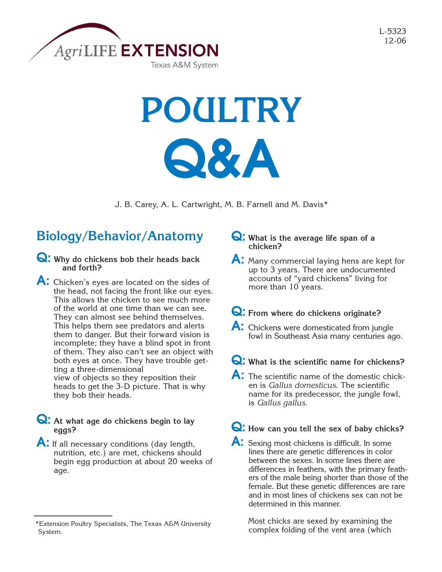

L-5323 12-06

# **POULTRY Q&A**

J. B. Carey, A. L. Cartwright, M. B. Farnell and M. Davis\*

# **Biology/Behavior/Anatomy**

- **Q: Why do chickens bob their heads back and forth?**
- A: Chicken's eyes are located on the sides of the head, not facing the front like our eyes. This allows the chicken to see much more of the world at one time than we can see. They can almost see behind themselves. This helps them see predators and alerts them to danger. But their forward vision is incomplete; they have a blind spot in front of them. They also can't see an object with both eyes at once. They have trouble getting a three-dimensional view of objects so they reposition their heads to get the 3-D picture. That is why they bob their heads.

## **Q: At what age do chickens begin to lay eggs?**

A: If all necessary conditions (day length, nutrition, etc.) are met, chickens should begin egg production at about 20 weeks of age.

## **Q: What is the average life span of a chicken?**

- **A:** Many commercial laying hens are kept for up to 3 years. There are undocumented accounts of "yard chickens" living for more than 10 years.
- **Q: From where do chickens originate?**
- A: Chickens were domesticated from jungle fowl in Southeast Asia many centuries ago.

## **Q: What is the scientific name for chickens?**

**A:** The scientific name of the domestic chicken is *Gallus domesticus*. The scientific name for its predecessor, the jungle fowl, is *Gallus gallus*.

## **Q: How can you tell the sex of baby chicks?**

**A:** Sexing most chickens is difficult. In some lines there are genetic differences in color between the sexes. In some lines there are differences in feathers, with the primary feathers of the male being shorter than those of the female. But these genetic differences are rare and in most lines of chickens sex can not be determined in this manner.

Most chicks are sexed by examining the complex folding of the vent area (which

<sup>\*</sup>Extension Poultry Specialists, The Texas A&M University System.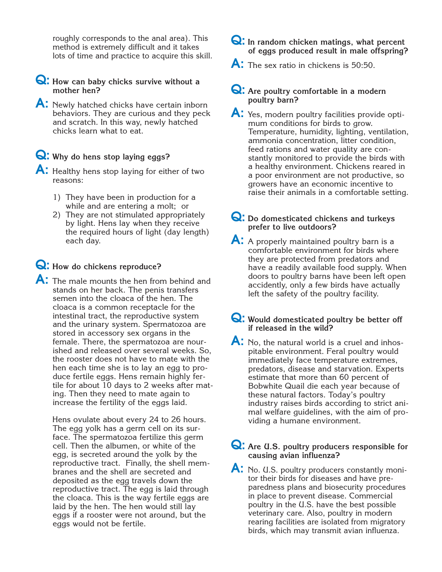roughly corresponds to the anal area). This method is extremely difficult and it takes lots of time and practice to acquire this skill.

## **Q: How can baby chicks survive without a mother hen?**

A: Newly hatched chicks have certain inborn behaviors. They are curious and they peck and scratch. In this way, newly hatched chicks learn what to eat.

## **Q: Why do hens stop laying eggs?**

A: Healthy hens stop laying for either of two reasons:

- 1) They have been in production for a while and are entering a molt; or
- 2) They are not stimulated appropriately by light. Hens lay when they receive the required hours of light (day length) each day.

## **Q: How do chickens reproduce?**

A: The male mounts the hen from behind and stands on her back. The penis transfers semen into the cloaca of the hen. The cloaca is a common receptacle for the intestinal tract, the reproductive system and the urinary system. Spermatozoa are stored in accessory sex organs in the female. There, the spermatozoa are nourished and released over several weeks. So, the rooster does not have to mate with the hen each time she is to lay an egg to produce fertile eggs. Hens remain highly fertile for about 10 days to 2 weeks after mating. Then they need to mate again to increase the fertility of the eggs laid.

Hens ovulate about every 24 to 26 hours. The egg yolk has a germ cell on its surface. The spermatozoa fertilize this germ cell. Then the albumen, or white of the egg, is secreted around the yolk by the reproductive tract. Finally, the shell membranes and the shell are secreted and deposited as the egg travels down the reproductive tract. The egg is laid through the cloaca. This is the way fertile eggs are laid by the hen. The hen would still lay eggs if a rooster were not around, but the eggs would not be fertile.

## **Q: In random chicken matings, what percent of eggs produced result in male offspring?**

A: The sex ratio in chickens is 50:50.

## **Q: Are poultry comfortable in a modern poultry barn?**

A: Yes, modern poultry facilities provide optimum conditions for birds to grow. Temperature, humidity, lighting, ventilation, ammonia concentration, litter condition, feed rations and water quality are constantly monitored to provide the birds with a healthy environment. Chickens reared in a poor environment are not productive, so growers have an economic incentive to raise their animals in a comfortable setting.

## **Q: Do domesticated chickens and turkeys prefer to live outdoors?**

A: A properly maintained poultry barn is a comfortable environment for birds where they are protected from predators and have a readily available food supply. When doors to poultry barns have been left open accidently, only a few birds have actually left the safety of the poultry facility.

## **Q: Would domesticated poultry be better off if released in the wild?**

A: No, the natural world is a cruel and inhospitable environment. Feral poultry would immediately face temperature extremes, predators, disease and starvation. Experts estimate that more than 60 percent of Bobwhite Quail die each year because of these natural factors. Today's poultry industry raises birds according to strict animal welfare guidelines, with the aim of providing a humane environment.

## **Q: Are U.S. poultry producers responsible for causing avian influenza?**

A: No. U.S. poultry producers constantly monitor their birds for diseases and have preparedness plans and biosecurity procedures in place to prevent disease. Commercial poultry in the U.S. have the best possible veterinary care. Also, poultry in modern rearing facilities are isolated from migratory birds, which may transmit avian influenza.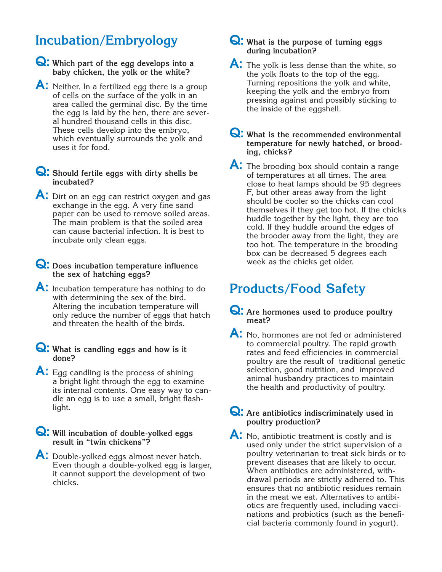# **Incubation/Embryology**

**Q: Which part of the egg develops into a baby chicken, the yolk or the white?**

A: Neither. In a fertilized egg there is a group of cells on the surface of the yolk in an area called the germinal disc. By the time the egg is laid by the hen, there are several hundred thousand cells in this disc. These cells develop into the embryo, which eventually surrounds the yolk and uses it for food.

## **Q: Should fertile eggs with dirty shells be incubated?**

A: Dirt on an egg can restrict oxygen and gas exchange in the egg. A very fine sand paper can be used to remove soiled areas. The main problem is that the soiled area can cause bacterial infection. It is best to incubate only clean eggs.

## **Q: Does incubation temperature influence the sex of hatching eggs?**

**A:** Incubation temperature has nothing to do with determining the sex of the bird. Altering the incubation temperature will only reduce the number of eggs that hatch and threaten the health of the birds.

## **Q: What is candling eggs and how is it done?**

A: Egg candling is the process of shining a bright light through the egg to examine its internal contents. One easy way to candle an egg is to use a small, bright flashlight.

**Q: Will incubation of double-yolked eggs result in "twin chickens"?**

A: Double-yolked eggs almost never hatch. Even though a double-yolked egg is larger, it cannot support the development of two chicks.

## **Q: What is the purpose of turning eggs during incubation?**

- A: The yolk is less dense than the white, so the yolk floats to the top of the egg. Turning repositions the yolk and white, keeping the yolk and the embryo from pressing against and possibly sticking to the inside of the eggshell.
- **Q: What is the recommended environmental temperature for newly hatched, or brooding, chicks?**
- A: The brooding box should contain a range of temperatures at all times. The area close to heat lamps should be 95 degrees F, but other areas away from the light should be cooler so the chicks can cool themselves if they get too hot. If the chicks huddle together by the light, they are too cold. If they huddle around the edges of the brooder away from the light, they are too hot. The temperature in the brooding box can be decreased 5 degrees each week as the chicks get older.

# **Products/Food Safety**

- **Q: Are hormones used to produce poultry meat?**
- A: No, hormones are not fed or administered to commercial poultry. The rapid growth rates and feed efficiencies in commercial poultry are the result of traditional genetic selection, good nutrition, and improved animal husbandry practices to maintain the health and productivity of poultry.
- **Q: Are antibiotics indiscriminately used in poultry production?**
- A: No. antibiotic treatment is costly and is used only under the strict supervision of a poultry veterinarian to treat sick birds or to prevent diseases that are likely to occur. When antibiotics are administered, withdrawal periods are strictly adhered to. This ensures that no antibiotic residues remain in the meat we eat. Alternatives to antibiotics are frequently used, including vaccinations and probiotics (such as the beneficial bacteria commonly found in yogurt).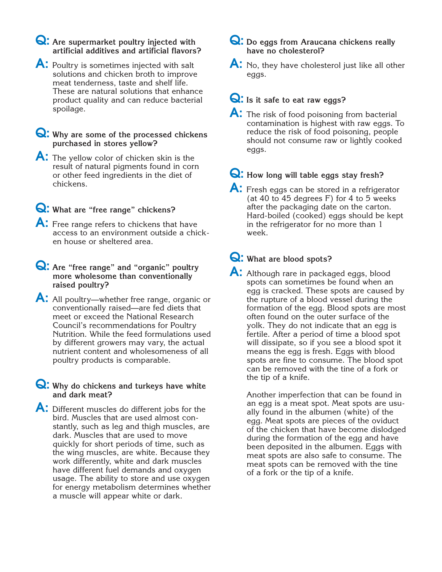## **Q: Are supermarket poultry injected with artificial additives and artificial flavors?**

A: Poultry is sometimes injected with salt solutions and chicken broth to improve meat tenderness, taste and shelf life. These are natural solutions that enhance product quality and can reduce bacterial spoilage.

## **Q: Why are some of the processed chickens purchased in stores yellow?**

- **A:** The yellow color of chicken skin is the result of natural pigments found in corn or other feed ingredients in the diet of chickens.
- **Q: What are "free range" chickens?**
- A: Free range refers to chickens that have access to an environment outside a chicken house or sheltered area.
- **Q: Are "free range" and "organic" poultry more wholesome than conventionally raised poultry?**
- **A:** All poultry—whether free range, organic or conventionally raised—are fed diets that meet or exceed the National Research Council's recommendations for Poultry Nutrition. While the feed formulations used by different growers may vary, the actual nutrient content and wholesomeness of all poultry products is comparable.

#### **Q:** Why do chickens and turkeys have white **and dark meat?**

A: Different muscles do different jobs for the bird. Muscles that are used almost constantly, such as leg and thigh muscles, are dark. Muscles that are used to move quickly for short periods of time, such as the wing muscles, are white. Because they work differently, white and dark muscles have different fuel demands and oxygen usage. The ability to store and use oxygen for energy metabolism determines whether a muscle will appear white or dark.

## **Q: Do eggs from Araucana chickens really have no cholesterol?**

A: No, they have cholesterol just like all other eggs.

## **Q: Is it safe to eat raw eggs?**

A: The risk of food poisoning from bacterial contamination is highest with raw eggs. To reduce the risk of food poisoning, people should not consume raw or lightly cooked eggs.

# **Q: How long will table eggs stay fresh?**

A: Fresh eggs can be stored in a refrigerator (at 40 to 45 degrees F) for 4 to 5 weeks after the packaging date on the carton. Hard-boiled (cooked) eggs should be kept in the refrigerator for no more than 1 week.

## **Q: What are blood spots?**

A: Although rare in packaged eggs, blood spots can sometimes be found when an egg is cracked. These spots are caused by the rupture of a blood vessel during the formation of the egg. Blood spots are most often found on the outer surface of the yolk. They do not indicate that an egg is fertile. After a period of time a blood spot will dissipate, so if you see a blood spot it means the egg is fresh. Eggs with blood spots are fine to consume. The blood spot can be removed with the tine of a fork or the tip of a knife.

Another imperfection that can be found in an egg is a meat spot. Meat spots are usually found in the albumen (white) of the egg. Meat spots are pieces of the oviduct of the chicken that have become dislodged during the formation of the egg and have been deposited in the albumen. Eggs with meat spots are also safe to consume. The meat spots can be removed with the tine of a fork or the tip of a knife.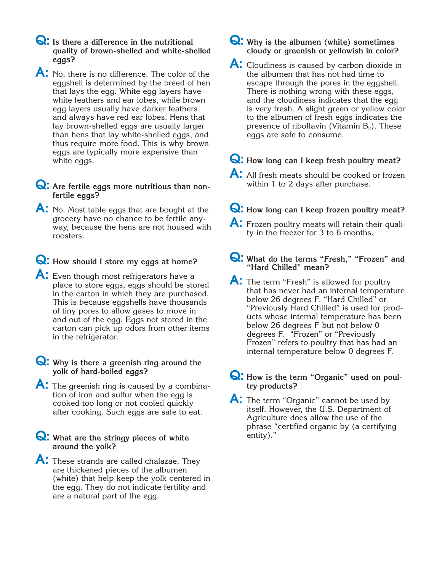- **Q: Is there a difference in the nutritional quality of brown-shelled and white-shelled eggs?**
- A: No, there is no difference. The color of the eggshell is determined by the breed of hen that lays the egg. White egg layers have white feathers and ear lobes, while brown egg layers usually have darker feathers and always have red ear lobes. Hens that lay brown-shelled eggs are usually larger than hens that lay white-shelled eggs, and thus require more food. This is why brown eggs are typically more expensive than white eggs.
- **Q:** Are fertile eggs more nutritious than non**fertile eggs?**
- A: No. Most table eggs that are bought at the grocery have no chance to be fertile anyway, because the hens are not housed with roosters.
- **Q: How should I store my eggs at home?**
- A: Even though most refrigerators have a place to store eggs, eggs should be stored in the carton in which they are purchased. This is because eggshells have thousands of tiny pores to allow gases to move in and out of the egg. Eggs not stored in the carton can pick up odors from other items in the refrigerator.
- **Q: Why is there a greenish ring around the yolk of hard-boiled eggs?**
- **A:** The greenish ring is caused by a combination of iron and sulfur when the egg is cooked too long or not cooled quickly after cooking. Such eggs are safe to eat.
- **Q: What are the stringy pieces of white around the yolk?**
- A: These strands are called chalazae. They are thickened pieces of the albumen (white) that help keep the yolk centered in the egg. They do not indicate fertility and are a natural part of the egg.
- **Q: Why is the albumen (white) sometimes cloudy or greenish or yellowish in color?**
- A: Cloudiness is caused by carbon dioxide in the albumen that has not had time to escape through the pores in the eggshell. There is nothing wrong with these eggs, and the cloudiness indicates that the egg is very fresh. A slight green or yellow color to the albumen of fresh eggs indicates the presence of riboflavin (Vitamin  $B_2$ ). These eggs are safe to consume.
- **Q: How long can I keep fresh poultry meat?**
- A: All fresh meats should be cooked or frozen within 1 to 2 days after purchase.
- **Q: How long can I keep frozen poultry meat?**
- A: Frozen poultry meats will retain their quality in the freezer for 3 to 6 months.
- **Q: What do the terms "Fresh," "Frozen" and "Hard Chilled" mean?**
- A: The term "Fresh" is allowed for poultry that has never had an internal temperature below 26 degrees F. "Hard Chilled" or "Previously Hard Chilled" is used for products whose internal temperature has been below 26 degrees F but not below 0 degrees F. "Frozen" or "Previously Frozen" refers to poultry that has had an internal temperature below 0 degrees F.
- **Q: How is the term "Organic" used on poultry products?**
- A: The term "Organic" cannot be used by itself. However, the U.S. Department of Agriculture does allow the use of the phrase "certified organic by (a certifying entity)."